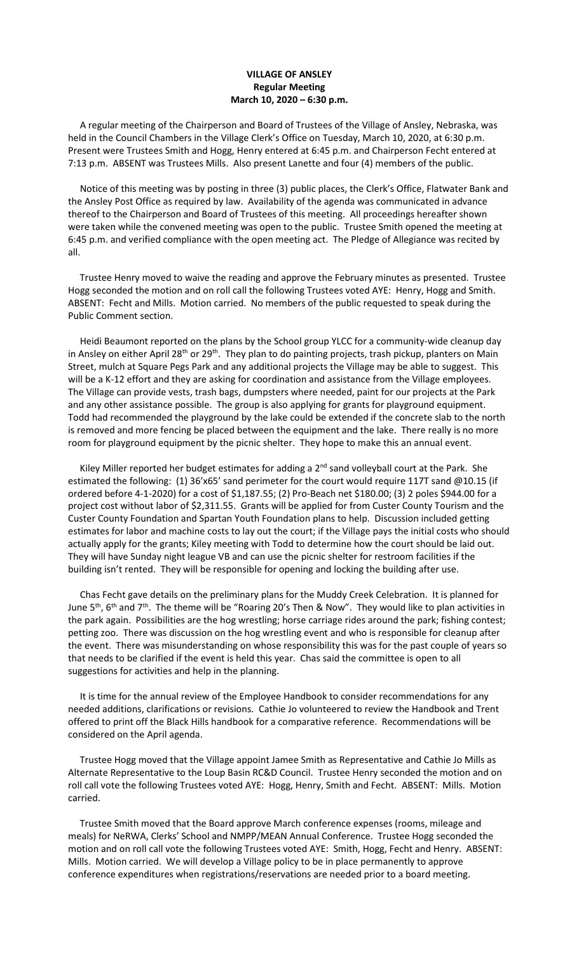## **VILLAGE OF ANSLEY Regular Meeting March 10, 2020 – 6:30 p.m.**

 A regular meeting of the Chairperson and Board of Trustees of the Village of Ansley, Nebraska, was held in the Council Chambers in the Village Clerk's Office on Tuesday, March 10, 2020, at 6:30 p.m. Present were Trustees Smith and Hogg, Henry entered at 6:45 p.m. and Chairperson Fecht entered at 7:13 p.m. ABSENT was Trustees Mills. Also present Lanette and four (4) members of the public.

 Notice of this meeting was by posting in three (3) public places, the Clerk's Office, Flatwater Bank and the Ansley Post Office as required by law. Availability of the agenda was communicated in advance thereof to the Chairperson and Board of Trustees of this meeting. All proceedings hereafter shown were taken while the convened meeting was open to the public. Trustee Smith opened the meeting at 6:45 p.m. and verified compliance with the open meeting act. The Pledge of Allegiance was recited by all.

 Trustee Henry moved to waive the reading and approve the February minutes as presented. Trustee Hogg seconded the motion and on roll call the following Trustees voted AYE: Henry, Hogg and Smith. ABSENT: Fecht and Mills. Motion carried. No members of the public requested to speak during the Public Comment section.

 Heidi Beaumont reported on the plans by the School group YLCC for a community-wide cleanup day in Ansley on either April 28<sup>th</sup> or 29<sup>th</sup>. They plan to do painting projects, trash pickup, planters on Main Street, mulch at Square Pegs Park and any additional projects the Village may be able to suggest. This will be a K-12 effort and they are asking for coordination and assistance from the Village employees. The Village can provide vests, trash bags, dumpsters where needed, paint for our projects at the Park and any other assistance possible. The group is also applying for grants for playground equipment. Todd had recommended the playground by the lake could be extended if the concrete slab to the north is removed and more fencing be placed between the equipment and the lake. There really is no more room for playground equipment by the picnic shelter. They hope to make this an annual event.

Kiley Miller reported her budget estimates for adding a 2<sup>nd</sup> sand volleyball court at the Park. She estimated the following: (1) 36'x65' sand perimeter for the court would require 117T sand @10.15 (if ordered before 4-1-2020) for a cost of \$1,187.55; (2) Pro-Beach net \$180.00; (3) 2 poles \$944.00 for a project cost without labor of \$2,311.55. Grants will be applied for from Custer County Tourism and the Custer County Foundation and Spartan Youth Foundation plans to help. Discussion included getting estimates for labor and machine costs to lay out the court; if the Village pays the initial costs who should actually apply for the grants; Kiley meeting with Todd to determine how the court should be laid out. They will have Sunday night league VB and can use the picnic shelter for restroom facilities if the building isn't rented. They will be responsible for opening and locking the building after use.

 Chas Fecht gave details on the preliminary plans for the Muddy Creek Celebration. It is planned for June  $5<sup>th</sup>$ , 6<sup>th</sup> and 7<sup>th</sup>. The theme will be "Roaring 20's Then & Now". They would like to plan activities in the park again. Possibilities are the hog wrestling; horse carriage rides around the park; fishing contest; petting zoo. There was discussion on the hog wrestling event and who is responsible for cleanup after the event. There was misunderstanding on whose responsibility this was for the past couple of years so that needs to be clarified if the event is held this year. Chas said the committee is open to all suggestions for activities and help in the planning.

 It is time for the annual review of the Employee Handbook to consider recommendations for any needed additions, clarifications or revisions. Cathie Jo volunteered to review the Handbook and Trent offered to print off the Black Hills handbook for a comparative reference. Recommendations will be considered on the April agenda.

 Trustee Hogg moved that the Village appoint Jamee Smith as Representative and Cathie Jo Mills as Alternate Representative to the Loup Basin RC&D Council. Trustee Henry seconded the motion and on roll call vote the following Trustees voted AYE: Hogg, Henry, Smith and Fecht. ABSENT: Mills. Motion carried.

 Trustee Smith moved that the Board approve March conference expenses (rooms, mileage and meals) for NeRWA, Clerks' School and NMPP/MEAN Annual Conference. Trustee Hogg seconded the motion and on roll call vote the following Trustees voted AYE: Smith, Hogg, Fecht and Henry. ABSENT: Mills. Motion carried. We will develop a Village policy to be in place permanently to approve conference expenditures when registrations/reservations are needed prior to a board meeting.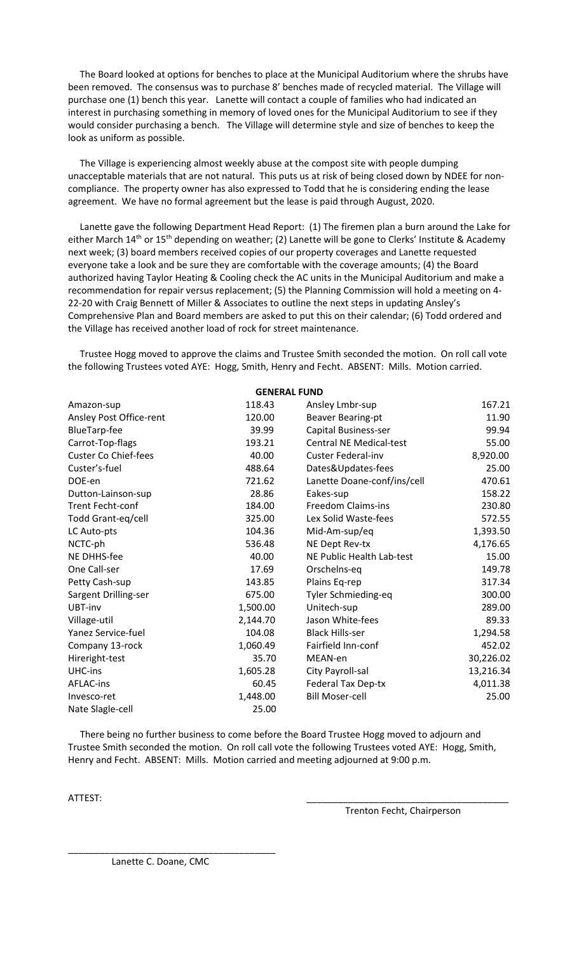The Board looked at options for benches to place at the Municipal Auditorium where the shrubs have been removed. The consensus was to purchase 8' benches made of recycled material. The Village will purchase one (1) bench this year. Lanette will contact a couple of families who had indicated an interest in purchasing something in memory of loved ones for the Municipal Auditorium to see if they would consider purchasing a bench. The Village will determine style and size of benches to keep the look as uniform as possible.

 The Village is experiencing almost weekly abuse at the compost site with people dumping unacceptable materials that are not natural. This puts us at risk of being closed down by NDEE for noncompliance. The property owner has also expressed to Todd that he is considering ending the lease agreement. We have no formal agreement but the lease is paid through August, 2020.

 Lanette gave the following Department Head Report: (1) The firemen plan a burn around the Lake for either March 14<sup>th</sup> or 15<sup>th</sup> depending on weather; (2) Lanette will be gone to Clerks' Institute & Academy next week; (3) board members received copies of our property coverages and Lanette requested everyone take a look and be sure they are comfortable with the coverage amounts; (4) the Board authorized having Taylor Heating & Cooling check the AC units in the Municipal Auditorium and make a recommendation for repair versus replacement; (5) the Planning Commission will hold a meeting on 4- 22-20 with Craig Bennett of Miller & Associates to outline the next steps in updating Ansley's Comprehensive Plan and Board members are asked to put this on their calendar; (6) Todd ordered and the Village has received another load of rock for street maintenance.

 Trustee Hogg moved to approve the claims and Trustee Smith seconded the motion. On roll call vote the following Trustees voted AYE: Hogg, Smith, Henry and Fecht. ABSENT: Mills. Motion carried.

| <b>GENERAL FUND</b>         |          |                                |           |
|-----------------------------|----------|--------------------------------|-----------|
| Amazon-sup                  | 118.43   | Ansley Lmbr-sup                | 167.21    |
| Ansley Post Office-rent     | 120.00   | <b>Beaver Bearing-pt</b>       | 11.90     |
| BlueTarp-fee                | 39.99    | Capital Business-ser           | 99.94     |
| Carrot-Top-flags            | 193.21   | <b>Central NE Medical-test</b> | 55.00     |
| <b>Custer Co Chief-fees</b> | 40.00    | <b>Custer Federal-inv</b>      | 8,920.00  |
| Custer's-fuel               | 488.64   | Dates&Updates-fees             | 25.00     |
| DOE-en                      | 721.62   | Lanette Doane-conf/ins/cell    | 470.61    |
| Dutton-Lainson-sup          | 28.86    | Eakes-sup                      | 158.22    |
| <b>Trent Fecht-conf</b>     | 184.00   | Freedom Claims-ins             | 230.80    |
| Todd Grant-eq/cell          | 325.00   | Lex Solid Waste-fees           | 572.55    |
| LC Auto-pts                 | 104.36   | Mid-Am-sup/eq                  | 1,393.50  |
| NCTC-ph                     | 536.48   | NE Dept Rev-tx                 | 4,176.65  |
| NE DHHS-fee                 | 40.00    | NE Public Health Lab-test      | 15.00     |
| One Call-ser                | 17.69    | Orschelns-eq                   | 149.78    |
| Petty Cash-sup              | 143.85   | Plains Eq-rep                  | 317.34    |
| Sargent Drilling-ser        | 675.00   | Tyler Schmieding-eq            | 300.00    |
| UBT-inv                     | 1,500.00 | Unitech-sup                    | 289.00    |
| Village-util                | 2,144.70 | Jason White-fees               | 89.33     |
| Yanez Service-fuel          | 104.08   | <b>Black Hills-ser</b>         | 1,294.58  |
| Company 13-rock             | 1,060.49 | Fairfield Inn-conf             | 452.02    |
| Hireright-test              | 35.70    | MEAN-en                        | 30,226.02 |
| UHC-ins                     | 1,605.28 | City Payroll-sal               | 13,216.34 |
| <b>AFLAC-ins</b>            | 60.45    | Federal Tax Dep-tx             | 4,011.38  |
| Invesco-ret                 | 1,448.00 | <b>Bill Moser-cell</b>         | 25.00     |
| Nate Slagle-cell            | 25.00    |                                |           |

 There being no further business to come before the Board Trustee Hogg moved to adjourn and Trustee Smith seconded the motion. On roll call vote the following Trustees voted AYE: Hogg, Smith, Henry and Fecht. ABSENT: Mills. Motion carried and meeting adjourned at 9:00 p.m.

ATTEST: \_\_\_\_\_\_\_\_\_\_\_\_\_\_\_\_\_\_\_\_\_\_\_\_\_\_\_\_\_\_\_\_\_\_\_\_\_\_\_

Trenton Fecht, Chairperson

Lanette C. Doane, CMC

\_\_\_\_\_\_\_\_\_\_\_\_\_\_\_\_\_\_\_\_\_\_\_\_\_\_\_\_\_\_\_\_\_\_\_\_\_\_\_\_